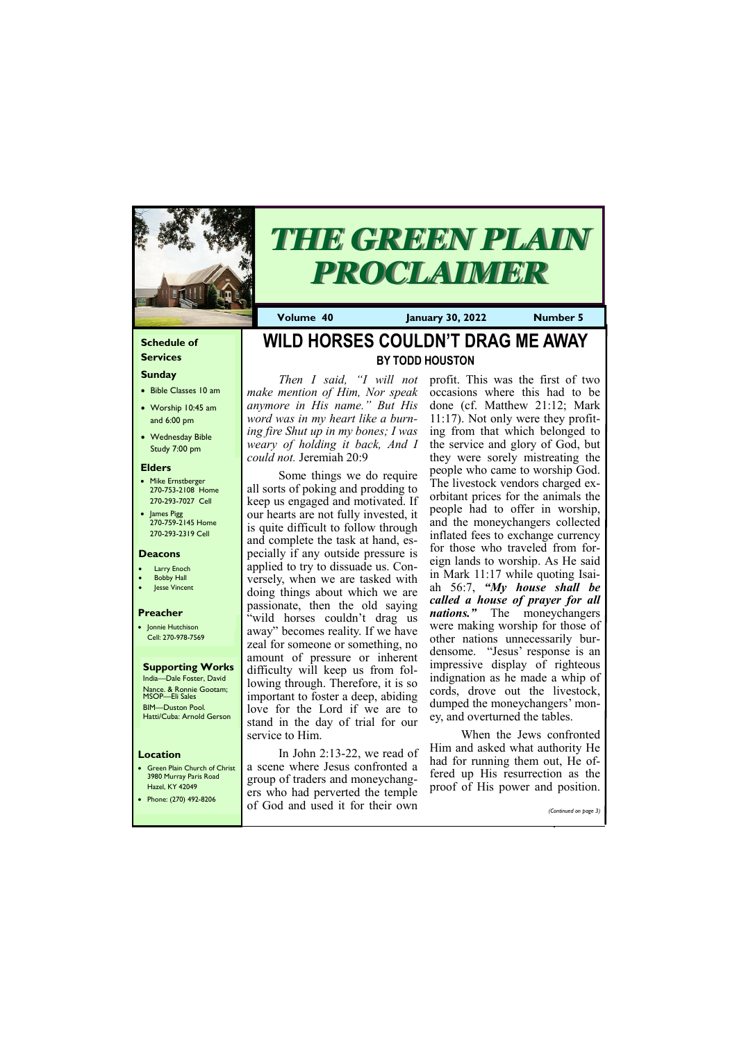#### **Schedule of Services**

# **Sunday**

- Bible Classes 10 am
- Worship 10:45 am and 6:00 pm
- Wednesday Bible Study 7:00 pm

• Green Plain Church of Christ 3980 Murray Paris Road  $H<sub>270</sub>$  KY 420

#### **Elders**

- Mike Ernstberger 270-753-2108 Home 270-293-7027 Cell
- James Pigg 270-759-2145 Home 270-293-2319 Cell

#### **Location**



# *THE GREEN PLAIN PROCLAIMER*

**Volume 40 January 30, 2022 Number 5**

#### **Deacons**

- **Larry Enoch**
- **Bobby Hall**
- Jesse Vincent

#### **Preacher**

• Jonnie Hutchison Cell: 270-978-7569

#### **Supporting Works** India—Dale Foster, David Nance. & Ronnie Gootam; MSOP—Eli Sales BIM—Duston Pool. Hatti/Cuba: Arnold Gerson

# **WILD HORSES COULDN'T DRAG ME AWAY BY TODD HOUSTON**

*Then I said, "I will not make mention of Him, Nor speak anymore in His name." But His word was in my heart like a burning fire Shut up in my bones; I was weary of holding it back, And I could not.* Jeremiah 20:9

Some things we do require all sorts of poking and prodding to keep us engaged and motivated. If our hearts are not fully invested, it is quite difficult to follow through and complete the task at hand, especially if any outside pressure is applied to try to dissuade us. Conversely, when we are tasked with doing things about which we are passionate, then the old saying "wild horses couldn't drag us away" becomes reality. If we have zeal for someone or something, no amount of pressure or inherent difficulty will keep us from following through. Therefore, it is so important to foster a deep, abiding love for the Lord if we are to stand in the day of trial for our service to Him.

| Hazei, NT 42047       | ers who had perverted the temple | proof of fils power and position. |
|-----------------------|----------------------------------|-----------------------------------|
| Phone: (270) 492-8206 | of God and used it for their own | (Continued on page 3)             |

In John 2:13-22, we read of a scene where Jesus confronted a group of traders and moneychangprofit. This was the first of two occasions where this had to be done (cf. Matthew 21:12; Mark 11:17). Not only were they profiting from that which belonged to the service and glory of God, but they were sorely mistreating the people who came to worship God. The livestock vendors charged exorbitant prices for the animals the people had to offer in worship, and the moneychangers collected inflated fees to exchange currency for those who traveled from foreign lands to worship. As He said in Mark 11:17 while quoting Isaiah 56:7, *"My house shall be called a house of prayer for all nations."* The moneychangers were making worship for those of other nations unnecessarily burdensome. "Jesus' response is an impressive display of righteous indignation as he made a whip of cords, drove out the livestock, dumped the moneychangers' money, and overturned the tables.

When the Jews confronted Him and asked what authority He had for running them out, He offered up His resurrection as the proof of His power and position.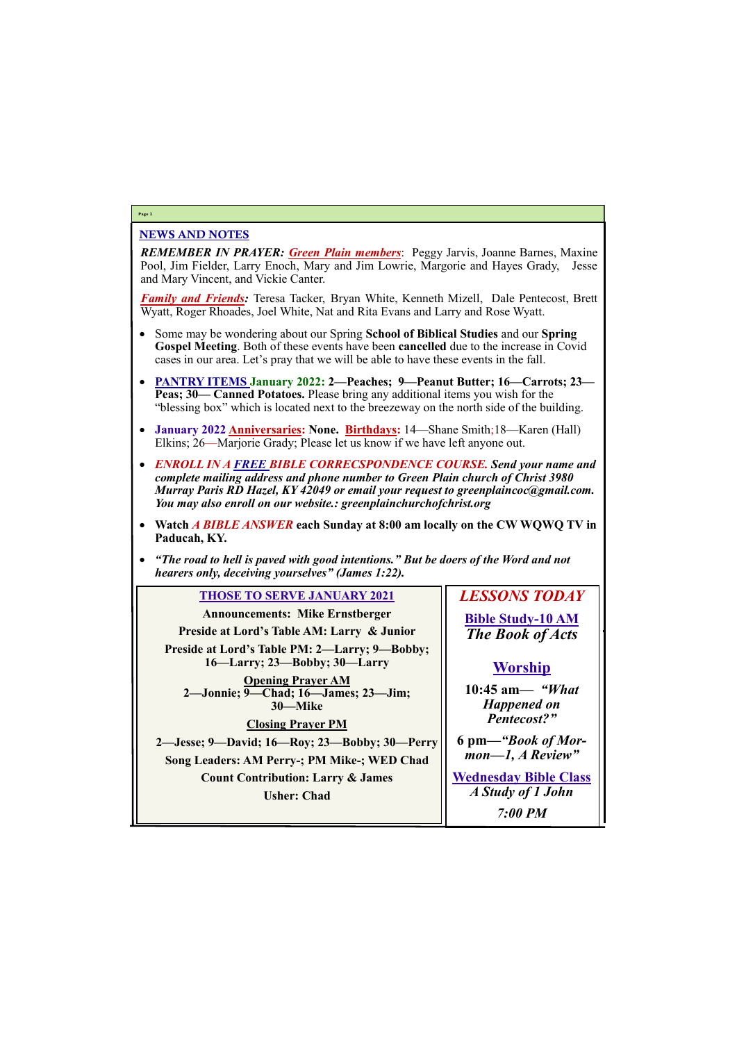## NEWS AND NOTES

*REMEMBER IN PRAYER: Green Plain members*: Peggy Jarvis, Joanne Barnes, Maxine Pool, Jim Fielder, Larry Enoch, Mary and Jim Lowrie, Margorie and Hayes Grady, Jesse and Mary Vincent, and Vickie Canter.

*Family and Friends:* Teresa Tacker, Bryan White, Kenneth Mizell, Dale Pentecost, Brett Wyatt, Roger Rhoades, Joel White, Nat and Rita Evans and Larry and Rose Wyatt.

- Some may be wondering about our Spring **School of Biblical Studies** and our **Spring Gospel Meeting**. Both of these events have been **cancelled** due to the increase in Covid cases in our area. Let's pray that we will be able to have these events in the fall.
- **PANTRY ITEMS January 2022: 2—Peaches; 9—Peanut Butter; 16—Carrots; 23— Peas; 30— Canned Potatoes.** Please bring any additional items you wish for the "blessing box" which is located next to the breezeway on the north side of the building.
- **January 2022 Anniversaries: None. Birthdays:** 14—Shane Smith;18—Karen (Hall) Elkins; 26—Marjorie Grady; Please let us know if we have left anyone out.
- *ENROLL IN A FREE BIBLE CORRECSPONDENCE COURSE. Send your name and complete mailing address and phone number to Green Plain church of Christ 3980 Murray Paris RD Hazel, KY 42049 or email your request to greenplaincoc@gmail.com. You may also enroll on our website.: greenplainchurchofchrist.org*
- **Watch** *A BIBLE ANSWER* **each Sunday at 8:00 am locally on the CW WQWQ TV in Paducah, KY.**
- *"The road to hell is paved with good intentions." But be doers of the Word and not hearers only, deceiving yourselves" (James 1:22).*

#### **Page 2**

## **THOSE TO SERVE JANUARY 2021**

**Announcements: Mike Ernstberger Preside at Lord's Table AM: Larry & Junior Preside at Lord's Table PM: 2—Larry; 9—Bobby; 16—Larry; 23—Bobby; 30—Larry Opening Prayer AM**

**2—Jonnie; 9—Chad; 16—James; 23—Jim; 30—Mike**

**Closing Prayer PM**

**2—Jesse; 9—David; 16—Roy; 23—Bobby; 30—Perry Song Leaders: AM Perry-; PM Mike-; WED Chad**

**Count Contribution: Larry & James**

*LESSONS TODAY* **Bible Study-10 AM** *The Book of Acts*

# **Worship**

**10:45 am***— "What Happened on Pentecost?"*



**6 pm—***"Book of Mormon—1, A Review"*

**Wednesday Bible Class**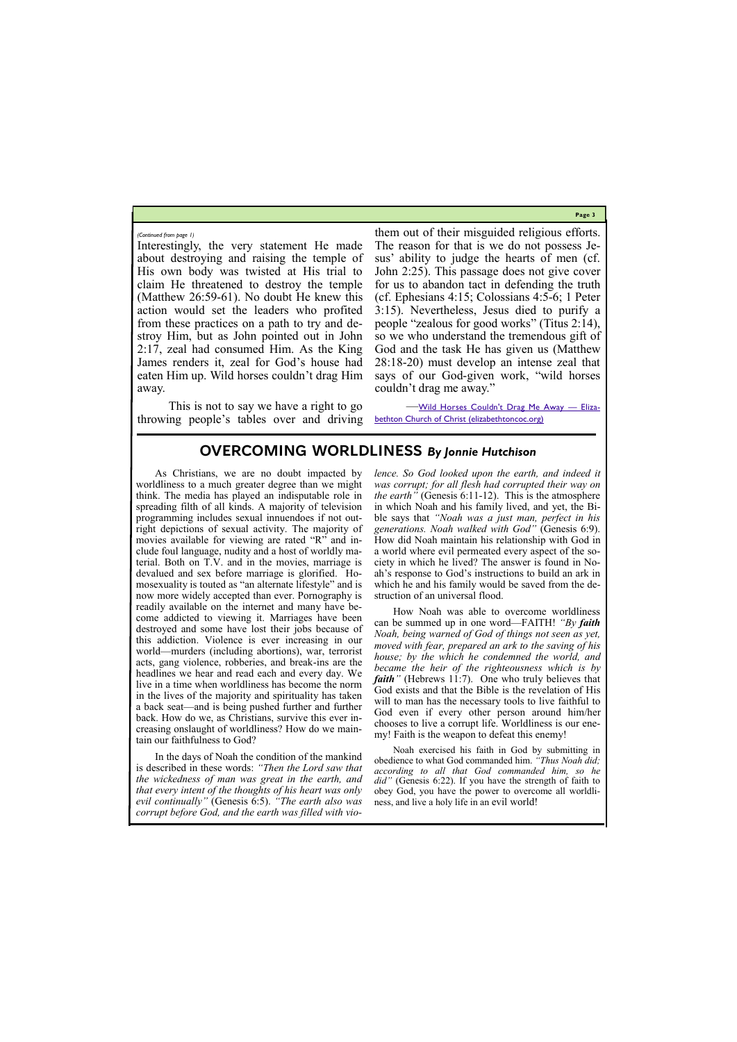**Page 3**

Interestingly, the very statement He made about destroying and raising the temple of His own body was twisted at His trial to claim He threatened to destroy the temple (Matthew 26:59-61). No doubt He knew this action would set the leaders who profited from these practices on a path to try and destroy Him, but as John pointed out in John 2:17, zeal had consumed Him. As the King James renders it, zeal for God's house had eaten Him up. Wild horses couldn't drag Him away.

This is not to say we have a right to go throwing people's tables over and driving them out of their misguided religious efforts. The reason for that is we do not possess Jesus' ability to judge the hearts of men (cf. John 2:25). This passage does not give cover for us to abandon tact in defending the truth (cf. Ephesians 4:15; Colossians 4:5-6; 1 Peter 3:15). Nevertheless, Jesus died to purify a people "zealous for good works" (Titus 2:14), so we who understand the tremendous gift of God and the task He has given us (Matthew 28:18-20) must develop an intense zeal that says of our God-given work, "wild horses couldn't drag me away."

—[Wild Horses Couldn't Drag Me Away](http://elizabethtoncoc.org/bulletin-articles/wild-horses-couldnt-drag-me-away) — Eliza[bethton Church of Christ \(elizabethtoncoc.org\)](http://elizabethtoncoc.org/bulletin-articles/wild-horses-couldnt-drag-me-away)

*(Continued from page 1)*

# **OVERCOMING WORLDLINESS** *By Jonnie Hutchison*

As Christians, we are no doubt impacted by worldliness to a much greater degree than we might think. The media has played an indisputable role in spreading filth of all kinds. A majority of television programming includes sexual innuendoes if not outright depictions of sexual activity. The majority of movies available for viewing are rated "R" and include foul language, nudity and a host of worldly material. Both on T.V. and in the movies, marriage is devalued and sex before marriage is glorified. Homosexuality is touted as "an alternate lifestyle" and is now more widely accepted than ever. Pornography is readily available on the internet and many have become addicted to viewing it. Marriages have been destroyed and some have lost their jobs because of this addiction. Violence is ever increasing in our world—murders (including abortions), war, terrorist acts, gang violence, robberies, and break-ins are the headlines we hear and read each and every day. We live in a time when worldliness has become the norm in the lives of the majority and spirituality has taken a back seat—and is being pushed further and further back. How do we, as Christians, survive this ever increasing onslaught of worldliness? How do we maintain our faithfulness to God?

In the days of Noah the condition of the mankind is described in these words: *"Then the Lord saw that the wickedness of man was great in the earth, and that every intent of the thoughts of his heart was only evil continually"* (Genesis 6:5). *"The earth also was corrupt before God, and the earth was filled with vio-* *lence. So God looked upon the earth, and indeed it was corrupt; for all flesh had corrupted their way on the earth"* (Genesis 6:11-12). This is the atmosphere in which Noah and his family lived, and yet, the Bible says that *"Noah was a just man, perfect in his generations. Noah walked with God"* (Genesis 6:9). How did Noah maintain his relationship with God in a world where evil permeated every aspect of the society in which he lived? The answer is found in Noah's response to God's instructions to build an ark in which he and his family would be saved from the destruction of an universal flood.

How Noah was able to overcome worldliness can be summed up in one word—FAITH! *"By faith Noah, being warned of God of things not seen as yet, moved with fear, prepared an ark to the saving of his house; by the which he condemned the world, and became the heir of the righteousness which is by faith*<sup>"</sup> (Hebrews 11:7). One who truly believes that God exists and that the Bible is the revelation of His will to man has the necessary tools to live faithful to God even if every other person around him/her chooses to live a corrupt life. Worldliness is our enemy! Faith is the weapon to defeat this enemy!

Noah exercised his faith in God by submitting in obedience to what God commanded him. *"Thus Noah did; according to all that God commanded him, so he did"* (Genesis 6:22). If you have the strength of faith to

obey God, you have the power to overcome all worldliness, and live a holy life in an evil world!